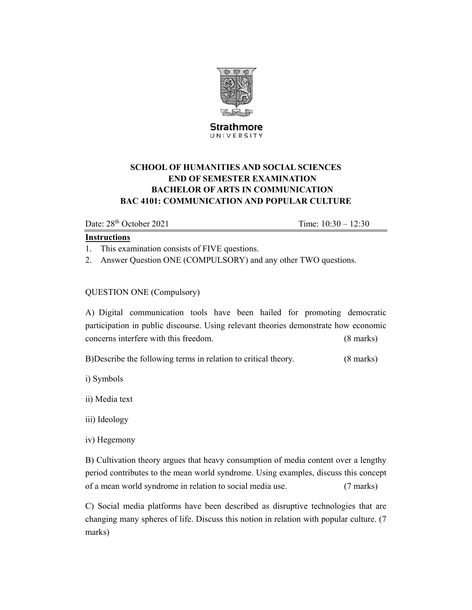

**Strathmore** UNIVERSITY

# **SCHOOL OF HUMANITIES AND SOCIAL SCIENCES END OF SEMESTER EXAMINATION BACHELOR OF ARTS IN COMMUNICATION BAC 4101: COMMUNICATION AND POPULAR CULTURE**

Date:  $28<sup>th</sup> October 2021$  Time:  $10:30 - 12:30$ 

## **Instructions**

1. This examination consists of FIVE questions.

2. Answer Question ONE (COMPULSORY) and any other TWO questions.

# QUESTION ONE (Compulsory)

A) Digital communication tools have been hailed for promoting democratic participation in public discourse. Using relevant theories demonstrate how economic concerns interfere with this freedom. (8 marks)

B)Describe the following terms in relation to critical theory. (8 marks)

i) Symbols

ii) Media text

iii) Ideology

iv) Hegemony

B) Cultivation theory argues that heavy consumption of media content over a lengthy period contributes to the mean world syndrome. Using examples, discuss this concept of a mean world syndrome in relation to social media use. (7 marks)

C) Social media platforms have been described as disruptive technologies that are changing many spheres of life. Discuss this notion in relation with popular culture. (7 marks)